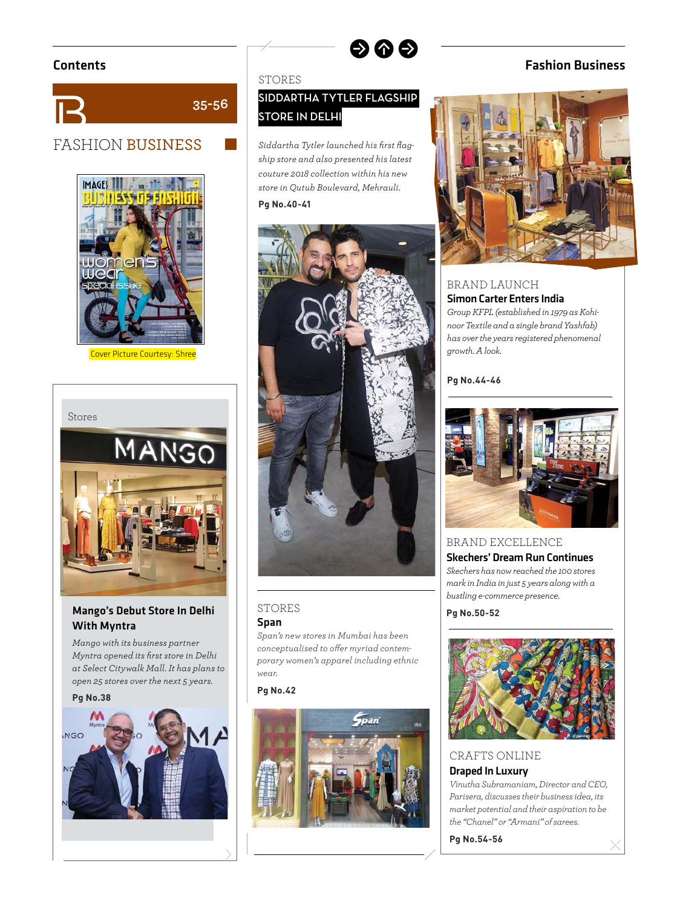

# FASHION BUSINESS



Cover Picture Courtesy: Shree



#### Mango's Debut Store In Delhi With Myntra

*Mango with its business partner Myntra opened its fi rst store in Delhi at Select Citywalk Mall. It has plans to open 25 stores over the next 5 years.*

# **Pg No.38 INGO**

#### **STORES**

**35-56**

# **SIDDARTHA TYTLER FLAGSHIP STORE IN DELHI**

 $\bullet$   $\bullet$ 

Siddartha Tytler launched his first flag*ship store and also presented his latest couture 2018 collection within his new store in Qutub Boulevard, Mehrauli.* 



#### STORES

#### Span

*Span's new stores in Mumbai has been*  conceptualised to offer myriad contem*porary women's apparel including ethnic wear.*

#### **Pg No.42**



# Contents Fashion Business



#### BRAND LAUNCH Simon Carter Enters India

*Group KFPL (established in 1979 as Kohinoor Textile and a single brand Yashfab) has over the years registered phenomenal growth. A look.*

# **Pg No.44-46**



BRAND EXCELLENCE Skechers' Dream Run Continues *Skechers has now reached the 100 stores mark in India in just 5 years along with a bustling e-commerce presence.*

**Pg No.50-52**



# CRAFTS ONLINE

#### Draped In Luxury

*Vinutha Subramaniam, Director and CEO, Parisera, discusses their business idea, its market potential and their aspiration to be the "Chanel" or "Armani" of sarees.*

**Pg No.54-56**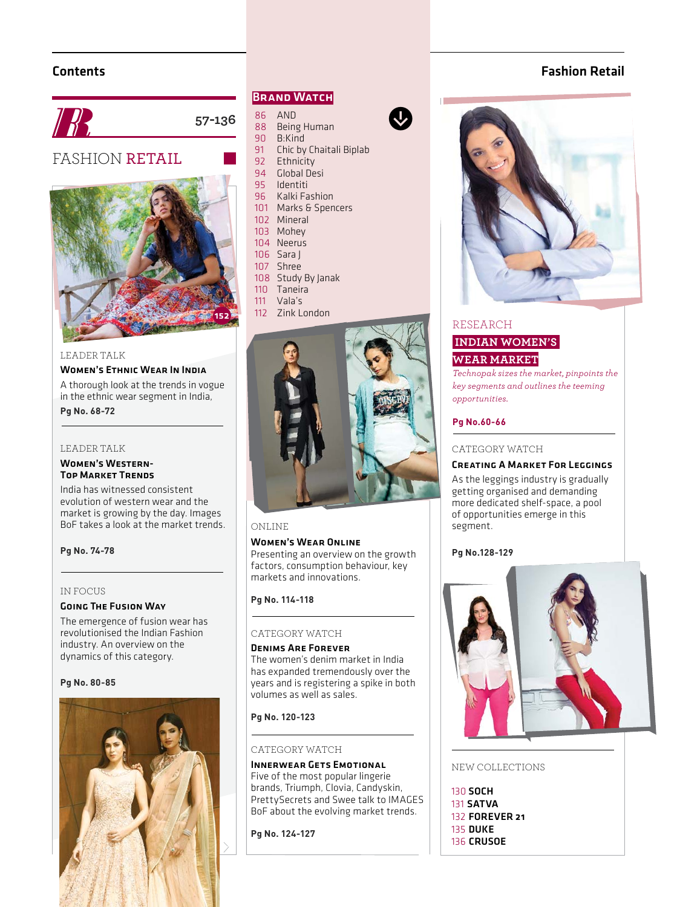## Contents





# FASHION RETAIL



#### LEADER TALK

#### Women's Ethnic Wear In India

A thorough look at the trends in vogue in the ethnic wear segment in India,

#### LEADER TALK

**Pg No. 68-72**

#### Women's Western-Top Market Trends

India has witnessed consistent evolution of western wear and the market is growing by the day. Images BoF takes a look at the market trends.

**Pg No. 74-78**

#### IN FOCUS

#### Going The Fusion Way

The emergence of fusion wear has revolutionised the Indian Fashion industry. An overview on the dynamics of this category.

#### Pa No. 80-85



#### **BRAND WATCH**

- 86 AND<br>88 Beins
- 88 Being Human<br>90 B:Kind
- 90 B:Kind<br>91 Chic by
- 91 Chic by Chaitali Biplab<br>92 Ethnicity

 $\bigcirc$ 

 $\ddot{\textbf{Q}}$ 

- **Ethnicity**
- 94 Global Desi 95 Identiti
- 96 Kalki Fashion
- 101 Marks & Spencers
- 102 Mineral
- 103 Mohey
- 104 Neerus
- 106 Sara J
- 107 Shree
- 108 Study By Janak
- 110 Taneira<br>111 Vala's
- Vala's
- 112 Zink London



#### ONLINE

#### Women's Wear Online

 Presenting an overview on the growth factors, consumption behaviour, key markets and innovations.

#### **Pg No. 114-118**

#### CATEGORY WATCH

#### Denims Are ForeverThe women's denim market in India has expanded tremendously over the years and is registering a spike in both volumes as well as sales.

#### Pa No. 120-123 **Pg No. 120-123**

#### CATEGORY WATCH

Innerwear Gets Emotional Five of the most popular lingerie brands, Triumph, Clovia, Candyskin, PrettySecrets and Swee talk to IMAGES BoF about the evolving market trends.

**Pg No. 124-127**



Fashion Retail

#### RESEARCH

# **INDIAN WOMEN'S WEAR MARKET**

*Technopak sizes the market, pinpoints the key segments and outlines the teeming opportunities.* 

#### **Pg No.60-66**

#### CATEGORY WATCH

#### Creating A Market For Leggings

As the leggings industry is gradually getting organised and demanding more dedicated shelf-space, a pool of opportunities emerge in this segment.



#### NEW COLLECTIONS

130 SOCH 131 SATVA 132 FOREVER 21 135 DUKE 136 CRUSOE